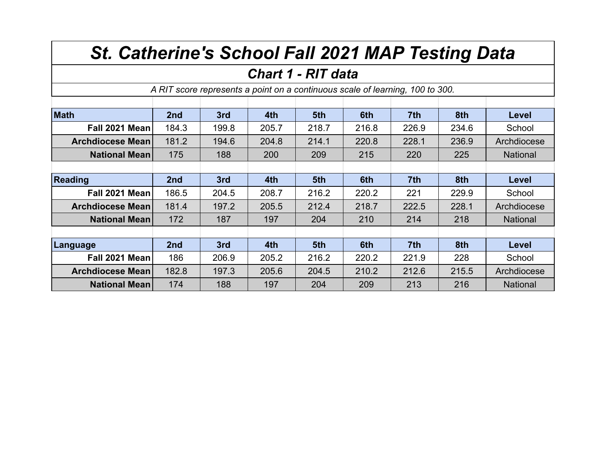## *St. Catherine's School Fall 2021 MAP Testing Data*

## *Chart 1 - RIT data*

*A RIT score represents a point on a continuous scale of learning, 100 to 300.*

| <b>Math</b>             | 2nd             | 3rd   | 4th   | 5th   | 6th   | 7th             | 8th   | Level           |
|-------------------------|-----------------|-------|-------|-------|-------|-----------------|-------|-----------------|
| Fall 2021 Mean          | 184.3           | 199.8 | 205.7 | 218.7 | 216.8 | 226.9           | 234.6 | School          |
| <b>Archdiocese Mean</b> | 181.2           | 194.6 | 204.8 | 214.1 | 220.8 | 228.1           | 236.9 | Archdiocese     |
| <b>National Mean</b>    | 175             | 188   | 200   | 209   | 215   | 220             | 225   | <b>National</b> |
|                         |                 |       |       |       |       |                 |       |                 |
| <b>Reading</b>          | 2nd             | 3rd   | 4th   | 5th   | 6th   | 7 <sup>th</sup> | 8th   | Level           |
| Fall 2021 Mean          | 186.5           | 204.5 | 208.7 | 216.2 | 220.2 | 221             | 229.9 | School          |
| <b>Archdiocese Mean</b> | 181.4           | 197.2 | 205.5 | 212.4 | 218.7 | 222.5           | 228.1 | Archdiocese     |
| <b>National Mean</b>    | 172             | 187   | 197   | 204   | 210   | 214             | 218   | <b>National</b> |
|                         |                 |       |       |       |       |                 |       |                 |
| Language                | 2 <sub>nd</sub> | 3rd   | 4th   | 5th   | 6th   | 7 <sup>th</sup> | 8th   | Level           |
| Fall 2021 Mean          | 186             | 206.9 | 205.2 | 216.2 | 220.2 | 221.9           | 228   | School          |
| <b>Archdiocese Mean</b> | 182.8           | 197.3 | 205.6 | 204.5 | 210.2 | 212.6           | 215.5 | Archdiocese     |
| <b>National Mean</b>    | 174             | 188   | 197   | 204   | 209   | 213             | 216   | <b>National</b> |